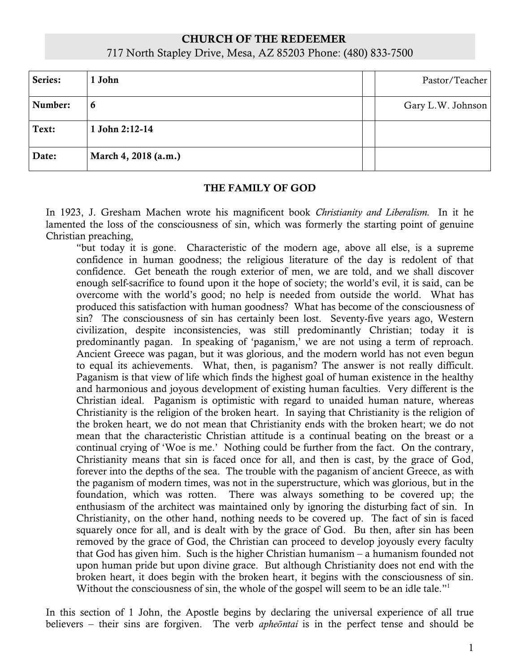## CHURCH OF THE REDEEMER 717 North Stapley Drive, Mesa, AZ 85203 Phone: (480) 833-7500

| Series: | 1 John               | Pastor/Teacher    |
|---------|----------------------|-------------------|
| Number: | $\bm{6}$             | Gary L.W. Johnson |
| Text:   | 1 John 2:12-14       |                   |
| Date:   | March 4, 2018 (a.m.) |                   |

## THE FAMILY OF GOD

In 1923, J. Gresham Machen wrote his magnificent book *Christianity and Liberalism.* In it he lamented the loss of the consciousness of sin, which was formerly the starting point of genuine Christian preaching,

"but today it is gone. Characteristic of the modern age, above all else, is a supreme confidence in human goodness; the religious literature of the day is redolent of that confidence. Get beneath the rough exterior of men, we are told, and we shall discover enough self-sacrifice to found upon it the hope of society; the world's evil, it is said, can be overcome with the world's good; no help is needed from outside the world. What has produced this satisfaction with human goodness? What has become of the consciousness of sin? The consciousness of sin has certainly been lost. Seventy-five years ago, Western civilization, despite inconsistencies, was still predominantly Christian; today it is predominantly pagan. In speaking of 'paganism,' we are not using a term of reproach. Ancient Greece was pagan, but it was glorious, and the modern world has not even begun to equal its achievements. What, then, is paganism? The answer is not really difficult. Paganism is that view of life which finds the highest goal of human existence in the healthy and harmonious and joyous development of existing human faculties. Very different is the Christian ideal. Paganism is optimistic with regard to unaided human nature, whereas Christianity is the religion of the broken heart. In saying that Christianity is the religion of the broken heart, we do not mean that Christianity ends with the broken heart; we do not mean that the characteristic Christian attitude is a continual beating on the breast or a continual crying of 'Woe is me.' Nothing could be further from the fact. On the contrary, Christianity means that sin is faced once for all, and then is cast, by the grace of God, forever into the depths of the sea. The trouble with the paganism of ancient Greece, as with the paganism of modern times, was not in the superstructure, which was glorious, but in the foundation, which was rotten. There was always something to be covered up; the enthusiasm of the architect was maintained only by ignoring the disturbing fact of sin. In Christianity, on the other hand, nothing needs to be covered up. The fact of sin is faced squarely once for all, and is dealt with by the grace of God. Bu then, after sin has been removed by the grace of God, the Christian can proceed to develop joyously every faculty that God has given him. Such is the higher Christian humanism – a humanism founded not upon human pride but upon divine grace. But although Christianity does not end with the broken heart, it does begin with the broken heart, it begins with the consciousness of sin. Without the consciousness of sin, the whole of the gospel will seem to be an idle tale."<sup>1</sup>

In this section of 1 John, the Apostle begins by declaring the universal experience of all true believers – their sins are forgiven. The verb *apheōntai* is in the perfect tense and should be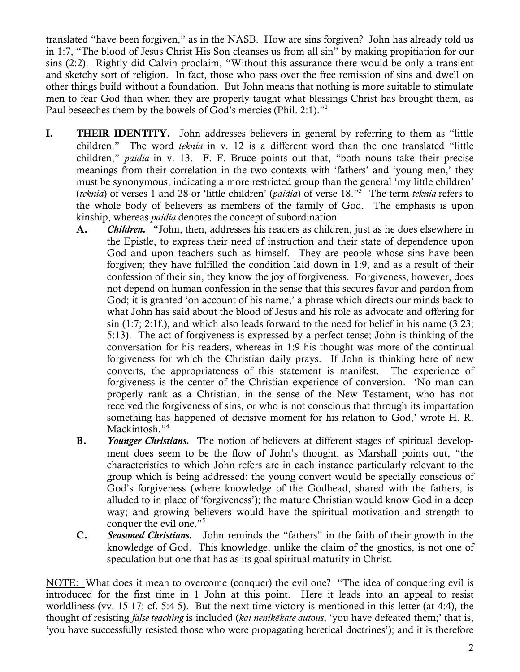translated "have been forgiven," as in the NASB. How are sins forgiven? John has already told us in 1:7, "The blood of Jesus Christ His Son cleanses us from all sin" by making propitiation for our sins (2:2). Rightly did Calvin proclaim, "Without this assurance there would be only a transient and sketchy sort of religion. In fact, those who pass over the free remission of sins and dwell on other things build without a foundation. But John means that nothing is more suitable to stimulate men to fear God than when they are properly taught what blessings Christ has brought them, as Paul beseeches them by the bowels of God's mercies (Phil. 2:1)."<sup>2</sup>

- I. THEIR IDENTITY. John addresses believers in general by referring to them as "little children." The word *teknia* in v. 12 is a different word than the one translated "little children," *paidia* in v. 13. F. F. Bruce points out that, "both nouns take their precise meanings from their correlation in the two contexts with 'fathers' and 'young men,' they must be synonymous, indicating a more restricted group than the general 'my little children' (*teknia*) of verses 1 and 28 or 'little children' (*paidia*) of verse 18."3 The term *teknia* refers to the whole body of believers as members of the family of God. The emphasis is upon kinship, whereas *paidia* denotes the concept of subordination
	- A. *Children.* "John, then, addresses his readers as children, just as he does elsewhere in the Epistle, to express their need of instruction and their state of dependence upon God and upon teachers such as himself. They are people whose sins have been forgiven; they have fulfilled the condition laid down in 1:9, and as a result of their confession of their sin, they know the joy of forgiveness. Forgiveness, however, does not depend on human confession in the sense that this secures favor and pardon from God; it is granted 'on account of his name,' a phrase which directs our minds back to what John has said about the blood of Jesus and his role as advocate and offering for sin (1:7; 2:1f.), and which also leads forward to the need for belief in his name (3:23; 5:13). The act of forgiveness is expressed by a perfect tense; John is thinking of the conversation for his readers, whereas in 1:9 his thought was more of the continual forgiveness for which the Christian daily prays. If John is thinking here of new converts, the appropriateness of this statement is manifest. The experience of forgiveness is the center of the Christian experience of conversion. 'No man can properly rank as a Christian, in the sense of the New Testament, who has not received the forgiveness of sins, or who is not conscious that through its impartation something has happened of decisive moment for his relation to God,' wrote H. R. Mackintosh."<sup>4</sup>
	- B. *Younger Christians.* The notion of believers at different stages of spiritual development does seem to be the flow of John's thought, as Marshall points out, "the characteristics to which John refers are in each instance particularly relevant to the group which is being addressed: the young convert would be specially conscious of God's forgiveness (where knowledge of the Godhead, shared with the fathers, is alluded to in place of 'forgiveness'); the mature Christian would know God in a deep way; and growing believers would have the spiritual motivation and strength to conquer the evil one."<sup>5</sup>
	- C. *Seasoned Christians.* John reminds the "fathers" in the faith of their growth in the knowledge of God. This knowledge, unlike the claim of the gnostics, is not one of speculation but one that has as its goal spiritual maturity in Christ.

NOTE: What does it mean to overcome (conquer) the evil one? "The idea of conquering evil is introduced for the first time in 1 John at this point. Here it leads into an appeal to resist worldliness (vv. 15-17; cf. 5:4-5). But the next time victory is mentioned in this letter (at 4:4), the thought of resisting *false teaching* is included (*kai nenikēkate autous*, 'you have defeated them;' that is, 'you have successfully resisted those who were propagating heretical doctrines'); and it is therefore